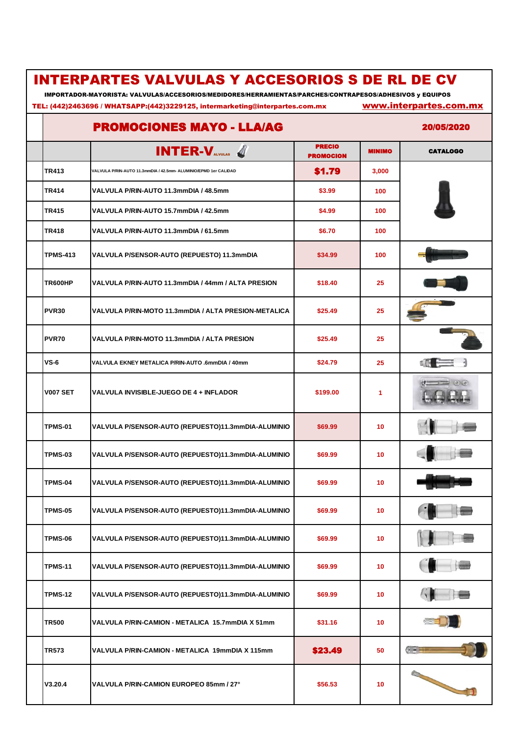| <b>INTERPARTES VALVULAS Y ACCESORIOS S DE RL DE CV</b><br>IMPORTADOR-MAYORISTA: VALVULAS/ACCESORIOS/MEDIDORES/HERRAMIENTAS/PARCHES/CONTRAPESOS/ADHESIVOS y EQUIPOS<br>www.interpartes.com.mx<br>TEL: (442)2463696 / WHATSAPP:(442)3229125, intermarketing@interpartes.com.mx |                                                                  |                                   |               |                 |  |
|------------------------------------------------------------------------------------------------------------------------------------------------------------------------------------------------------------------------------------------------------------------------------|------------------------------------------------------------------|-----------------------------------|---------------|-----------------|--|
|                                                                                                                                                                                                                                                                              | <b>PROMOCIONES MAYO - LLA/AG</b>                                 |                                   |               | 20/05/2020      |  |
|                                                                                                                                                                                                                                                                              | $INTER-Vavutas$ 4                                                | <b>PRECIO</b><br><b>PROMOCION</b> | <b>MINIMO</b> | <b>CATALOGO</b> |  |
| <b>TR413</b>                                                                                                                                                                                                                                                                 | VALVULA P/RIN-AUTO 11.3mmDIA / 42.5mm- ALUMINIO/EPMD 1er CALIDAD | \$1.79                            | 3,000         |                 |  |
| <b>TR414</b>                                                                                                                                                                                                                                                                 | VALVULA P/RIN-AUTO 11.3mmDIA / 48.5mm                            | \$3.99                            | 100           |                 |  |
| <b>TR415</b>                                                                                                                                                                                                                                                                 | VALVULA P/RIN-AUTO 15.7mmDIA / 42.5mm                            | \$4.99                            | 100           |                 |  |
| <b>TR418</b>                                                                                                                                                                                                                                                                 | VALVULA P/RIN-AUTO 11.3mmDIA / 61.5mm                            | \$6.70                            | 100           |                 |  |
| <b>TPMS-413</b>                                                                                                                                                                                                                                                              | VALVULA P/SENSOR-AUTO (REPUESTO) 11.3mmDIA                       | \$34.99                           | 100           |                 |  |
| <b>TR600HP</b>                                                                                                                                                                                                                                                               | VALVULA P/RIN-AUTO 11.3mmDIA / 44mm / ALTA PRESION               | \$18.40                           | 25            |                 |  |
| <b>PVR30</b>                                                                                                                                                                                                                                                                 | VALVULA P/RIN-MOTO 11.3mmDIA / ALTA PRESION-METALICA             | \$25.49                           | 25            |                 |  |
| PVR70                                                                                                                                                                                                                                                                        | VALVULA P/RIN-MOTO 11.3mmDIA / ALTA PRESION                      | \$25.49                           | 25            |                 |  |
| $VS-6$                                                                                                                                                                                                                                                                       | VALVULA EKNEY METALICA P/RIN-AUTO .6mmDIA / 40mm                 | \$24.79                           | 25            | ≝ (1            |  |
| <b>V007 SET</b>                                                                                                                                                                                                                                                              | VALVULA INVISIBLE-JUEGO DE 4 + INFLADOR                          | \$199.00                          | 1             |                 |  |
| <b>TPMS-01</b>                                                                                                                                                                                                                                                               | VALVULA P/SENSOR-AUTO (REPUESTO)11.3mmDIA-ALUMINIO               | \$69.99                           | 10            |                 |  |
| <b>TPMS-03</b>                                                                                                                                                                                                                                                               | VALVULA P/SENSOR-AUTO (REPUESTO)11.3mmDIA-ALUMINIO               | \$69.99                           | 10            | $\blacksquare$  |  |
| TPMS-04                                                                                                                                                                                                                                                                      | VALVULA P/SENSOR-AUTO (REPUESTO)11.3mmDIA-ALUMINIO               | \$69.99                           | 10            |                 |  |
| <b>TPMS-05</b>                                                                                                                                                                                                                                                               | VALVULA P/SENSOR-AUTO (REPUESTO)11.3mmDIA-ALUMINIO               | \$69.99                           | 10            |                 |  |
| TPMS-06                                                                                                                                                                                                                                                                      | VALVULA P/SENSOR-AUTO (REPUESTO)11.3mmDIA-ALUMINIO               | \$69.99                           | 10            |                 |  |
| <b>TPMS-11</b>                                                                                                                                                                                                                                                               | VALVULA P/SENSOR-AUTO (REPUESTO)11.3mmDIA-ALUMINIO               | \$69.99                           | 10            |                 |  |
| <b>TPMS-12</b>                                                                                                                                                                                                                                                               | VALVULA P/SENSOR-AUTO (REPUESTO)11.3mmDIA-ALUMINIO               | \$69.99                           | 10            |                 |  |
| <b>TR500</b>                                                                                                                                                                                                                                                                 | VALVULA P/RIN-CAMION - METALICA 15.7mmDIA X 51mm                 | \$31.16                           | 10            |                 |  |
| TR573                                                                                                                                                                                                                                                                        | VALVULA P/RIN-CAMION - METALICA 19mmDIA X 115mm                  | \$23.49                           | 50            |                 |  |
| V3.20.4                                                                                                                                                                                                                                                                      | VALVULA P/RIN-CAMION EUROPEO 85mm / 27°                          | \$56.53                           | 10            |                 |  |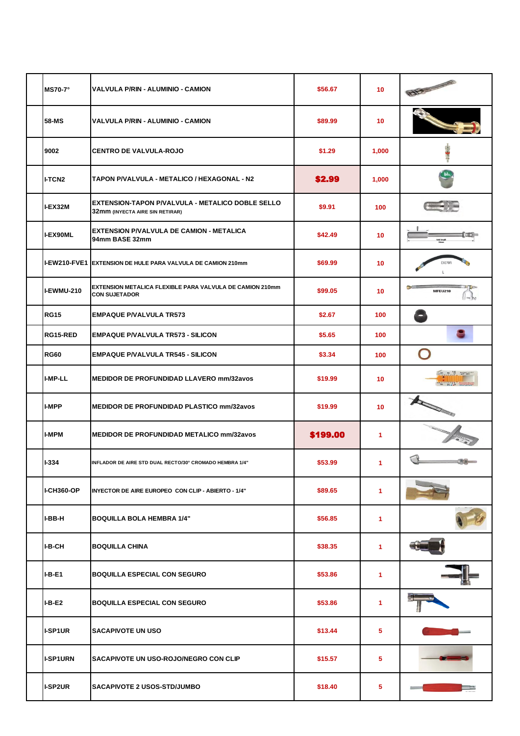| <b>MS70-7°</b>      | VALVULA P/RIN - ALUMINIO - CAMION                                                          | \$56.67  | 10                   | ENS                                                               |
|---------------------|--------------------------------------------------------------------------------------------|----------|----------------------|-------------------------------------------------------------------|
| 58-MS               | VALVULA P/RIN - ALUMINIO - CAMION                                                          | \$89.99  | 10                   |                                                                   |
| 9002                | <b>CENTRO DE VALVULA-ROJO</b>                                                              | \$1.29   | 1,000                |                                                                   |
| <b>I-TCN2</b>       | TAPON P/VALVULA - METALICO / HEXAGONAL - N2                                                | \$2.99   | 1,000                | N <sub>2</sub>                                                    |
| I-EX32M             | <b>EXTENSION-TAPON P/VALVULA - METALICO DOBLE SELLO</b><br>32mm (INYECTA AIRE SIN RETIRAR) | \$9.91   | 100                  |                                                                   |
| <b>I-EX90ML</b>     | <b>EXTENSION P/VALVULA DE CAMION - METALICA</b><br>94mm BASE 32mm                          | \$42.49  | 10                   |                                                                   |
| <b>I-EW210-FVE1</b> | EXTENSION DE HULE PARA VALVULA DE CAMION 210mm                                             | \$69.99  | 10                   |                                                                   |
| I-EWMU-210          | EXTENSION METALICA FLEXIBLE PARA VALVULA DE CAMION 210mm<br><b>CON SUJETADOR</b>           | \$99.05  | 10                   | MFEU210                                                           |
| <b>RG15</b>         | <b>EMPAQUE P/VALVULA TR573</b>                                                             | \$2.67   | 100                  |                                                                   |
| RG15-RED            | <b>EMPAQUE P/VALVULA TR573 - SILICON</b>                                                   | \$5.65   | 100                  | S                                                                 |
| <b>RG60</b>         | <b>EMPAQUE P/VALVULA TR545 - SILICON</b>                                                   | \$3.34   | 100                  | $\bigcirc$                                                        |
| I-MP-LL             | <b>MEDIDOR DE PROFUNDIDAD LLAVERO mm/32avos</b>                                            | \$19.99  | 10                   | $\frac{30}{20}$ to $\frac{10}{20}$ the set<br>$30 - 10 - 30 = 20$ |
| I-MPP               | <b>MEDIDOR DE PROFUNDIDAD PLASTICO mm/32avos</b>                                           | \$19.99  | 10                   | <b>All Contracts</b>                                              |
| I-MPM               | <b>MEDIDOR DE PROFUNDIDAD METALICO mm/32avos</b>                                           | \$199.00 | 1                    |                                                                   |
| $I - 334$           | INFLADOR DE AIRE STD DUAL RECTO/30° CROMADO HEMBRA 1/4"                                    | \$53.99  | 1                    |                                                                   |
| <b>I-CH360-OP</b>   | INYECTOR DE AIRE EUROPEO CON CLIP - ABIERTO - 1/4"                                         | \$89.65  | 1                    |                                                                   |
| I-BB-H              | <b>BOQUILLA BOLA HEMBRA 1/4"</b>                                                           | \$56.85  | 1                    |                                                                   |
| I-B-CH              | <b>BOQUILLA CHINA</b>                                                                      | \$38.35  | 1                    |                                                                   |
| I-B-E1              | <b>BOQUILLA ESPECIAL CON SEGURO</b>                                                        | \$53.86  | $\blacktriangleleft$ |                                                                   |
| <b>I-B-E2</b>       | <b>BOQUILLA ESPECIAL CON SEGURO</b>                                                        | \$53.86  | 1                    |                                                                   |
| <b>I-SP1UR</b>      | <b>SACAPIVOTE UN USO</b>                                                                   | \$13.44  | 5                    |                                                                   |
| <b>I-SP1URN</b>     | SACAPIVOTE UN USO-ROJO/NEGRO CON CLIP                                                      | \$15.57  | 5                    |                                                                   |
| <b>I-SP2UR</b>      | <b>SACAPIVOTE 2 USOS-STD/JUMBO</b>                                                         | \$18.40  | 5.                   |                                                                   |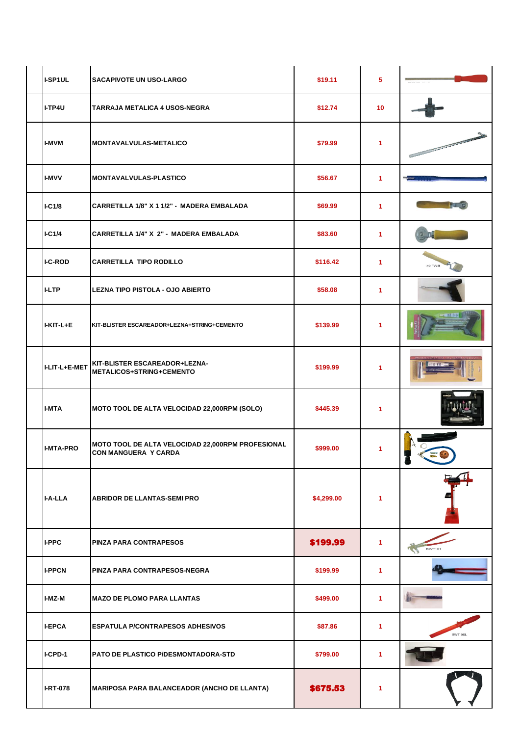| I-SP1UL          | <b>SACAPIVOTE UN USO-LARGO</b>                                                   | \$19.11    | 5  |                                                                                                                                                                                                                                      |
|------------------|----------------------------------------------------------------------------------|------------|----|--------------------------------------------------------------------------------------------------------------------------------------------------------------------------------------------------------------------------------------|
| I-TP4U           | TARRAJA METALICA 4 USOS-NEGRA                                                    | \$12.74    | 10 |                                                                                                                                                                                                                                      |
| <b>I-MVM</b>     | <b>MONTAVALVULAS-METALICO</b>                                                    | \$79.99    | 1  | <b>Contract Contract Contract Contract Contract Contract Contract Contract Contract Contract Contract Contract Contract Contract Contract Contract Contract Contract Contract Contract Contract Contract Contract Contract Contr</b> |
| <b>I-MVV</b>     | <b>MONTAVALVULAS-PLASTICO</b>                                                    | \$56.67    | 1  |                                                                                                                                                                                                                                      |
| IC1/8            | CARRETILLA 1/8" X 1 1/2" - MADERA EMBALADA                                       | \$69.99    | 1  |                                                                                                                                                                                                                                      |
| IC1/4            | CARRETILLA 1/4" X 2" - MADERA EMBALADA                                           | \$83.60    | 1  |                                                                                                                                                                                                                                      |
| <b>I-C-ROD</b>   | <b>CARRETILLA TIPO RODILLO</b>                                                   | \$116.42   | 1  | MT <sub>04</sub>                                                                                                                                                                                                                     |
| <b>I-LTP</b>     | <b>LEZNA TIPO PISTOLA - OJO ABIERTO</b>                                          | \$58.08    | 1  |                                                                                                                                                                                                                                      |
| I-KIT-L+E        | KIT-BLISTER ESCAREADOR+LEZNA+STRING+CEMENTO                                      | \$139.99   | 1  |                                                                                                                                                                                                                                      |
| I-LIT-L+E-MET    | KIT-BLISTER ESCAREADOR+LEZNA-<br>METALICOS+STRING+CEMENTO                        | \$199.99   | 1  |                                                                                                                                                                                                                                      |
| <b>I-MTA</b>     | MOTO TOOL DE ALTA VELOCIDAD 22,000RPM (SOLO)                                     | \$445.39   | 1  |                                                                                                                                                                                                                                      |
| <b>I-MTA-PRO</b> | MOTO TOOL DE ALTA VELOCIDAD 22,000RPM PROFESIONAL<br><b>CON MANGUERA Y CARDA</b> | \$999.00   | 1  | ε.                                                                                                                                                                                                                                   |
| I-A-LLA          | <b>ABRIDOR DE LLANTAS-SEMI PRO</b>                                               | \$4,299.00 | 1  |                                                                                                                                                                                                                                      |
| I-PPC            | <b>PINZA PARA CONTRAPESOS</b>                                                    | \$199.99   | 1  | BWT 01                                                                                                                                                                                                                               |
| <b>I-PPCN</b>    | PINZA PARA CONTRAPESOS-NEGRA                                                     | \$199.99   | 1  |                                                                                                                                                                                                                                      |
| I-MZ-M           | <b>MAZO DE PLOMO PARA LLANTAS</b>                                                | \$499.00   | 1. |                                                                                                                                                                                                                                      |
| <b>I-EPCA</b>    | <b>ESPATULA P/CONTRAPESOS ADHESIVOS</b>                                          | \$87.86    | 1  | BWT 06L                                                                                                                                                                                                                              |
| I-CPD-1          | PATO DE PLASTICO P/DESMONTADORA-STD                                              | \$799.00   | 1  |                                                                                                                                                                                                                                      |
| <b>I-RT-078</b>  | <b>MARIPOSA PARA BALANCEADOR (ANCHO DE LLANTA)</b>                               | \$675.53   | 1  |                                                                                                                                                                                                                                      |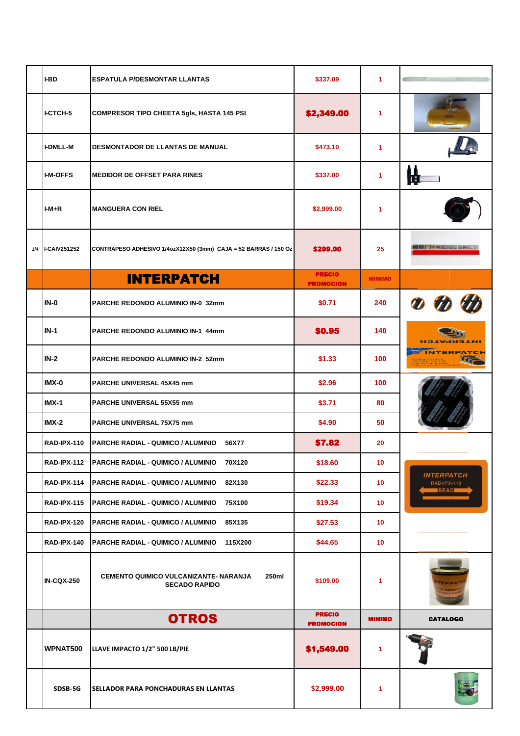| I-BD               | <b>ESPATULA P/DESMONTAR LLANTAS</b>                                    | \$337.09                          | 1.            |                                                 |
|--------------------|------------------------------------------------------------------------|-----------------------------------|---------------|-------------------------------------------------|
| I-CTCH-5           | <b>COMPRESOR TIPO CHEETA 5gls, HASTA 145 PSI</b>                       | \$2,349.00                        | 1.            |                                                 |
| <b>I-DMLL-M</b>    | <b>DESMONTADOR DE LLANTAS DE MANUAL</b>                                | \$473.10                          | 1.            |                                                 |
| <b>I-M-OFFS</b>    | <b>MEDIDOR DE OFFSET PARA RINES</b>                                    | \$337.00                          | 1.            |                                                 |
| $I-M+R$            | <b>MANGUERA CON RIEL</b>                                               | \$2,999.00                        | 1.            |                                                 |
| 1/4   I-CAIV251252 | CONTRAPESO ADHESIVO 1/4ozX12X50 (3mm) CAJA = 52 BARRAS / 150 Oz        | \$299.00                          | 25            |                                                 |
|                    | <b>INTERPATCH</b>                                                      | <b>PRECIO</b><br><b>PROMOCION</b> | <b>MINIMO</b> |                                                 |
| $IN-0$             | PARCHE REDONDO ALUMINIO IN-0 32mm                                      | \$0.71                            | 240           |                                                 |
| $IN-1$             | PARCHE REDONDO ALUMINIO IN-1 44mm                                      | \$0.95                            | 140           |                                                 |
| $IN-2$             | <b>PARCHE REDONDO ALUMINIO IN-2 52mm</b>                               | \$1.33                            | 100           |                                                 |
| IMX-0              | <b>PARCHE UNIVERSAL 45X45 mm</b>                                       | \$2.96                            | 100           |                                                 |
| $IMX-1$            | <b>PARCHE UNIVERSAL 55X55 mm</b>                                       | \$3.71                            | 80            |                                                 |
| $IMX-2$            | <b>PARCHE UNIVERSAL 75X75 mm</b>                                       | \$4.90                            | 50            |                                                 |
| RAD-IPX-110        | PARCHE RADIAL - QUIMICO / ALUMINIO<br>56X77                            | \$7.82                            | 20            |                                                 |
| RAD-IPX-112        | PARCHE RADIAL - QUIMICO / ALUMINIO<br>70X120                           | \$18.60                           | 10            |                                                 |
| RAD-IPX-114        | <b>IPARCHE RADIAL - QUIMICO / ALUMINIO</b><br>82X130                   | \$22.33                           | 10            | <b>INTERPATCH</b><br>RAD-IPX-110<br><b>BEAD</b> |
| <b>RAD-IPX-115</b> | PARCHE RADIAL - QUIMICO / ALUMINIO<br>75X100                           | \$19.34                           | 10            |                                                 |
| <b>RAD-IPX-120</b> | <b>PARCHE RADIAL - QUIMICO / ALUMINIO</b><br>85X135                    | \$27.53                           | 10            |                                                 |
| RAD-IPX-140        | <b>PARCHE RADIAL - QUIMICO / ALUMINIO</b><br>115X200                   | \$44.65                           | 10            |                                                 |
| <b>IN-CQX-250</b>  | CEMENTO QUIMICO VULCANIZANTE- NARANJA<br>250ml<br><b>SECADO RAPIDO</b> | \$109.00                          | 1             |                                                 |
|                    | <b>OTROS</b>                                                           | <b>PRECIO</b><br><b>PROMOCION</b> | <b>MINIMO</b> | <b>CATALOGO</b>                                 |
| WPNAT500           | LLAVE IMPACTO 1/2" 500 LB/PIE                                          | \$1,549.00                        | 1             |                                                 |
| SDSB-5G            | <b>SELLADOR PARA PONCHADURAS EN LLANTAS</b>                            | \$2,999.00                        | 1             |                                                 |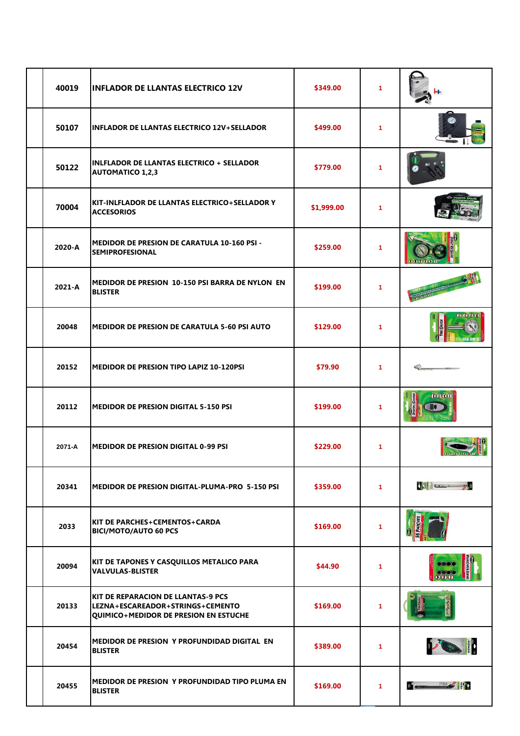| 40019  | <b>INFLADOR DE LLANTAS ELECTRICO 12V</b>                                                                                      | \$349.00   | 1.                   |                                                                                                                       |
|--------|-------------------------------------------------------------------------------------------------------------------------------|------------|----------------------|-----------------------------------------------------------------------------------------------------------------------|
| 50107  | <b>INFLADOR DE LLANTAS ELECTRICO 12V+SELLADOR</b>                                                                             | \$499.00   | 1.                   |                                                                                                                       |
| 50122  | <b>INLFLADOR DE LLANTAS ELECTRICO + SELLADOR</b><br><b>AUTOMATICO 1,2,3</b>                                                   | \$779.00   | 1                    |                                                                                                                       |
| 70004  | KIT-INLFLADOR DE LLANTAS ELECTRICO+SELLADOR Y<br><b>ACCESORIOS</b>                                                            | \$1,999.00 | 1                    |                                                                                                                       |
| 2020-A | <b>MEDIDOR DE PRESION DE CARATULA 10-160 PSI -</b><br><b>SEMIPROFESIONAL</b>                                                  | \$259.00   | 1                    |                                                                                                                       |
| 2021-A | MEDIDOR DE PRESION 10-150 PSI BARRA DE NYLON EN<br><b>BLISTER</b>                                                             | \$199.00   | 1.                   |                                                                                                                       |
| 20048  | MEDIDOR DE PRESION DE CARATULA 5-60 PSI AUTO                                                                                  | \$129.00   | 1                    |                                                                                                                       |
| 20152  | MEDIDOR DE PRESION TIPO LAPIZ 10-120PSI                                                                                       | \$79.90    | 1.                   |                                                                                                                       |
| 20112  | <b>MEDIDOR DE PRESION DIGITAL 5-150 PSI</b>                                                                                   | \$199.00   | 1                    | 0000                                                                                                                  |
| 2071-A | <b>MEDIDOR DE PRESION DIGITAL 0-99 PSI</b>                                                                                    | \$229.00   | 1.                   |                                                                                                                       |
| 20341  | <b>MEDIDOR DE PRESION DIGITAL-PLUMA-PRO 5-150 PSI</b>                                                                         | \$359.00   | $\blacktriangleleft$ | <b>Test in the second contract of the second contract of the second contract of the second contract of the second</b> |
| 2033   | KIT DE PARCHES+CEMENTOS+CARDA<br><b>BICI/MOTO/AUTO 60 PCS</b>                                                                 | \$169.00   | $\mathbf{1}$         |                                                                                                                       |
| 20094  | KIT DE TAPONES Y CASQUILLOS METALICO PARA<br><b>VALVULAS-BLISTER</b>                                                          | \$44.90    | 1.                   | 000                                                                                                                   |
| 20133  | <b>KIT DE REPARACION DE LLANTAS-9 PCS</b><br>LEZNA+ESCAREADOR+STRINGS+CEMENTO<br><b>QUIMICO+MEDIDOR DE PRESION EN ESTUCHE</b> | \$169.00   | 1                    |                                                                                                                       |
| 20454  | MEDIDOR DE PRESION Y PROFUNDIDAD DIGITAL EN<br><b>BLISTER</b>                                                                 | \$389.00   | 1.                   | <b>170 11</b>                                                                                                         |
| 20455  | MEDIDOR DE PRESION Y PROFUNDIDAD TIPO PLUMA EN<br><b>BLISTER</b>                                                              | \$169.00   | $\blacktriangleleft$ | $\blacksquare$                                                                                                        |